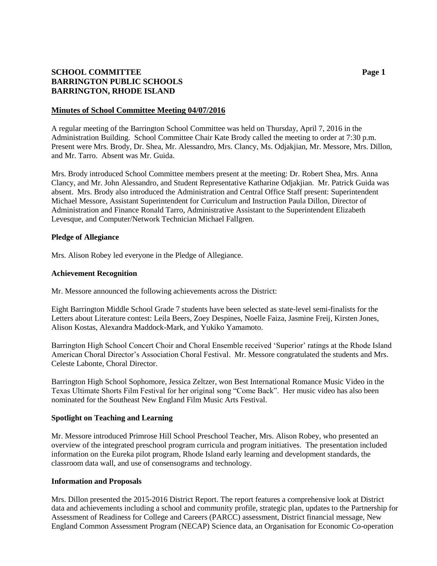## **SCHOOL COMMITTEE Page 1 BARRINGTON PUBLIC SCHOOLS BARRINGTON, RHODE ISLAND**

#### **Minutes of School Committee Meeting 04/07/2016**

A regular meeting of the Barrington School Committee was held on Thursday, April 7, 2016 in the Administration Building. School Committee Chair Kate Brody called the meeting to order at 7:30 p.m. Present were Mrs. Brody, Dr. Shea, Mr. Alessandro, Mrs. Clancy, Ms. Odjakjian, Mr. Messore, Mrs. Dillon, and Mr. Tarro. Absent was Mr. Guida.

Mrs. Brody introduced School Committee members present at the meeting: Dr. Robert Shea, Mrs. Anna Clancy, and Mr. John Alessandro, and Student Representative Katharine Odjakjian. Mr. Patrick Guida was absent. Mrs. Brody also introduced the Administration and Central Office Staff present: Superintendent Michael Messore, Assistant Superintendent for Curriculum and Instruction Paula Dillon, Director of Administration and Finance Ronald Tarro, Administrative Assistant to the Superintendent Elizabeth Levesque, and Computer/Network Technician Michael Fallgren.

### **Pledge of Allegiance**

Mrs. Alison Robey led everyone in the Pledge of Allegiance.

### **Achievement Recognition**

Mr. Messore announced the following achievements across the District:

Eight Barrington Middle School Grade 7 students have been selected as state-level semi-finalists for the Letters about Literature contest: Leila Beers, Zoey Despines, Noelle Faiza, Jasmine Freij, Kirsten Jones, Alison Kostas, Alexandra Maddock-Mark, and Yukiko Yamamoto.

Barrington High School Concert Choir and Choral Ensemble received 'Superior' ratings at the Rhode Island American Choral Director's Association Choral Festival. Mr. Messore congratulated the students and Mrs. Celeste Labonte, Choral Director.

Barrington High School Sophomore, Jessica Zeltzer, won Best International Romance Music Video in the Texas Ultimate Shorts Film Festival for her original song "Come Back". Her music video has also been nominated for the Southeast New England Film Music Arts Festival.

#### **Spotlight on Teaching and Learning**

Mr. Messore introduced Primrose Hill School Preschool Teacher, Mrs. Alison Robey, who presented an overview of the integrated preschool program curricula and program initiatives. The presentation included information on the Eureka pilot program, Rhode Island early learning and development standards, the classroom data wall, and use of consensograms and technology.

## **Information and Proposals**

Mrs. Dillon presented the 2015-2016 District Report. The report features a comprehensive look at District data and achievements including a school and community profile, strategic plan, updates to the Partnership for Assessment of Readiness for College and Careers (PARCC) assessment, District financial message, New England Common Assessment Program (NECAP) Science data, an Organisation for Economic Co-operation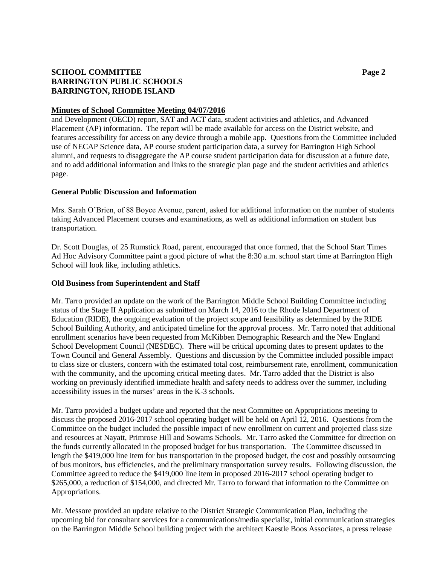# **SCHOOL COMMITTEE Page 2 BARRINGTON PUBLIC SCHOOLS BARRINGTON, RHODE ISLAND**

## **Minutes of School Committee Meeting 04/07/2016**

and Development (OECD) report, SAT and ACT data, student activities and athletics, and Advanced Placement (AP) information. The report will be made available for access on the District website, and features accessibility for access on any device through a mobile app. Questions from the Committee included use of NECAP Science data, AP course student participation data, a survey for Barrington High School alumni, and requests to disaggregate the AP course student participation data for discussion at a future date, and to add additional information and links to the strategic plan page and the student activities and athletics page.

### **General Public Discussion and Information**

Mrs. Sarah O'Brien, of 88 Boyce Avenue, parent, asked for additional information on the number of students taking Advanced Placement courses and examinations, as well as additional information on student bus transportation.

Dr. Scott Douglas, of 25 Rumstick Road, parent, encouraged that once formed, that the School Start Times Ad Hoc Advisory Committee paint a good picture of what the 8:30 a.m. school start time at Barrington High School will look like, including athletics.

## **Old Business from Superintendent and Staff**

Mr. Tarro provided an update on the work of the Barrington Middle School Building Committee including status of the Stage II Application as submitted on March 14, 2016 to the Rhode Island Department of Education (RIDE), the ongoing evaluation of the project scope and feasibility as determined by the RIDE School Building Authority, and anticipated timeline for the approval process. Mr. Tarro noted that additional enrollment scenarios have been requested from McKibben Demographic Research and the New England School Development Council (NESDEC). There will be critical upcoming dates to present updates to the Town Council and General Assembly. Questions and discussion by the Committee included possible impact to class size or clusters, concern with the estimated total cost, reimbursement rate, enrollment, communication with the community, and the upcoming critical meeting dates. Mr. Tarro added that the District is also working on previously identified immediate health and safety needs to address over the summer, including accessibility issues in the nurses' areas in the K-3 schools.

Mr. Tarro provided a budget update and reported that the next Committee on Appropriations meeting to discuss the proposed 2016-2017 school operating budget will be held on April 12, 2016. Questions from the Committee on the budget included the possible impact of new enrollment on current and projected class size and resources at Nayatt, Primrose Hill and Sowams Schools. Mr. Tarro asked the Committee for direction on the funds currently allocated in the proposed budget for bus transportation. The Committee discussed in length the \$419,000 line item for bus transportation in the proposed budget, the cost and possibly outsourcing of bus monitors, bus efficiencies, and the preliminary transportation survey results. Following discussion, the Committee agreed to reduce the \$419,000 line item in proposed 2016-2017 school operating budget to \$265,000, a reduction of \$154,000, and directed Mr. Tarro to forward that information to the Committee on Appropriations.

Mr. Messore provided an update relative to the District Strategic Communication Plan, including the upcoming bid for consultant services for a communications/media specialist, initial communication strategies on the Barrington Middle School building project with the architect Kaestle Boos Associates, a press release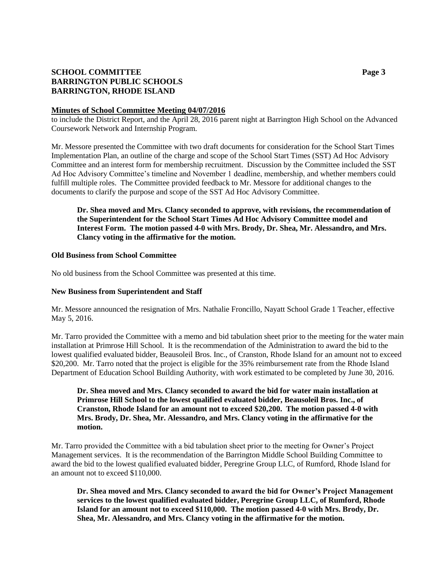# **SCHOOL COMMITTEE Page 3 BARRINGTON PUBLIC SCHOOLS BARRINGTON, RHODE ISLAND**

#### **Minutes of School Committee Meeting 04/07/2016**

to include the District Report, and the April 28, 2016 parent night at Barrington High School on the Advanced Coursework Network and Internship Program.

Mr. Messore presented the Committee with two draft documents for consideration for the School Start Times Implementation Plan, an outline of the charge and scope of the School Start Times (SST) Ad Hoc Advisory Committee and an interest form for membership recruitment. Discussion by the Committee included the SST Ad Hoc Advisory Committee's timeline and November 1 deadline, membership, and whether members could fulfill multiple roles. The Committee provided feedback to Mr. Messore for additional changes to the documents to clarify the purpose and scope of the SST Ad Hoc Advisory Committee.

**Dr. Shea moved and Mrs. Clancy seconded to approve, with revisions, the recommendation of the Superintendent for the School Start Times Ad Hoc Advisory Committee model and Interest Form. The motion passed 4-0 with Mrs. Brody, Dr. Shea, Mr. Alessandro, and Mrs. Clancy voting in the affirmative for the motion.**

### **Old Business from School Committee**

No old business from the School Committee was presented at this time.

#### **New Business from Superintendent and Staff**

Mr. Messore announced the resignation of Mrs. Nathalie Froncillo, Nayatt School Grade 1 Teacher, effective May 5, 2016.

Mr. Tarro provided the Committee with a memo and bid tabulation sheet prior to the meeting for the water main installation at Primrose Hill School. It is the recommendation of the Administration to award the bid to the lowest qualified evaluated bidder, Beausoleil Bros. Inc., of Cranston, Rhode Island for an amount not to exceed \$20,200. Mr. Tarro noted that the project is eligible for the 35% reimbursement rate from the Rhode Island Department of Education School Building Authority, with work estimated to be completed by June 30, 2016.

**Dr. Shea moved and Mrs. Clancy seconded to award the bid for water main installation at Primrose Hill School to the lowest qualified evaluated bidder, Beausoleil Bros. Inc., of Cranston, Rhode Island for an amount not to exceed \$20,200. The motion passed 4-0 with Mrs. Brody, Dr. Shea, Mr. Alessandro, and Mrs. Clancy voting in the affirmative for the motion.**

Mr. Tarro provided the Committee with a bid tabulation sheet prior to the meeting for Owner's Project Management services. It is the recommendation of the Barrington Middle School Building Committee to award the bid to the lowest qualified evaluated bidder, Peregrine Group LLC, of Rumford, Rhode Island for an amount not to exceed \$110,000.

**Dr. Shea moved and Mrs. Clancy seconded to award the bid for Owner's Project Management services to the lowest qualified evaluated bidder, Peregrine Group LLC, of Rumford, Rhode Island for an amount not to exceed \$110,000. The motion passed 4-0 with Mrs. Brody, Dr. Shea, Mr. Alessandro, and Mrs. Clancy voting in the affirmative for the motion.**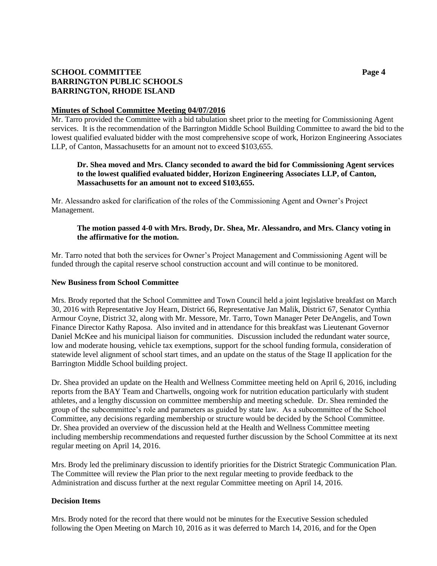# **SCHOOL COMMITTEE Page 4 BARRINGTON PUBLIC SCHOOLS BARRINGTON, RHODE ISLAND**

### **Minutes of School Committee Meeting 04/07/2016**

Mr. Tarro provided the Committee with a bid tabulation sheet prior to the meeting for Commissioning Agent services. It is the recommendation of the Barrington Middle School Building Committee to award the bid to the lowest qualified evaluated bidder with the most comprehensive scope of work, Horizon Engineering Associates LLP, of Canton, Massachusetts for an amount not to exceed \$103,655.

## **Dr. Shea moved and Mrs. Clancy seconded to award the bid for Commissioning Agent services to the lowest qualified evaluated bidder, Horizon Engineering Associates LLP, of Canton, Massachusetts for an amount not to exceed \$103,655.**

Mr. Alessandro asked for clarification of the roles of the Commissioning Agent and Owner's Project Management.

## **The motion passed 4-0 with Mrs. Brody, Dr. Shea, Mr. Alessandro, and Mrs. Clancy voting in the affirmative for the motion.**

Mr. Tarro noted that both the services for Owner's Project Management and Commissioning Agent will be funded through the capital reserve school construction account and will continue to be monitored.

### **New Business from School Committee**

Mrs. Brody reported that the School Committee and Town Council held a joint legislative breakfast on March 30, 2016 with Representative Joy Hearn, District 66, Representative Jan Malik, District 67, Senator Cynthia Armour Coyne, District 32, along with Mr. Messore, Mr. Tarro, Town Manager Peter DeAngelis, and Town Finance Director Kathy Raposa. Also invited and in attendance for this breakfast was Lieutenant Governor Daniel McKee and his municipal liaison for communities. Discussion included the redundant water source, low and moderate housing, vehicle tax exemptions, support for the school funding formula, consideration of statewide level alignment of school start times, and an update on the status of the Stage II application for the Barrington Middle School building project.

Dr. Shea provided an update on the Health and Wellness Committee meeting held on April 6, 2016, including reports from the BAY Team and Chartwells, ongoing work for nutrition education particularly with student athletes, and a lengthy discussion on committee membership and meeting schedule. Dr. Shea reminded the group of the subcommittee's role and parameters as guided by state law. As a subcommittee of the School Committee, any decisions regarding membership or structure would be decided by the School Committee. Dr. Shea provided an overview of the discussion held at the Health and Wellness Committee meeting including membership recommendations and requested further discussion by the School Committee at its next regular meeting on April 14, 2016.

Mrs. Brody led the preliminary discussion to identify priorities for the District Strategic Communication Plan. The Committee will review the Plan prior to the next regular meeting to provide feedback to the Administration and discuss further at the next regular Committee meeting on April 14, 2016.

## **Decision Items**

Mrs. Brody noted for the record that there would not be minutes for the Executive Session scheduled following the Open Meeting on March 10, 2016 as it was deferred to March 14, 2016, and for the Open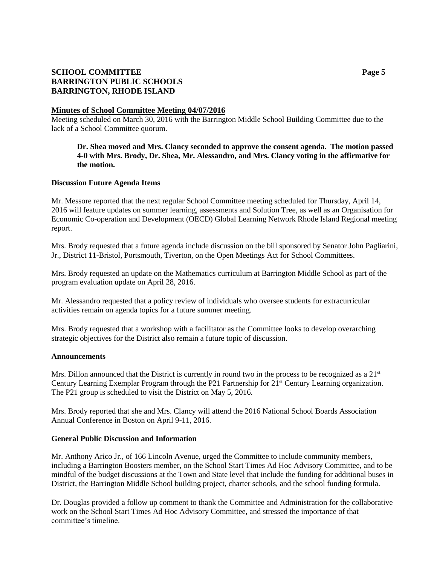# **SCHOOL COMMITTEE Page 5 BARRINGTON PUBLIC SCHOOLS BARRINGTON, RHODE ISLAND**

### **Minutes of School Committee Meeting 04/07/2016**

Meeting scheduled on March 30, 2016 with the Barrington Middle School Building Committee due to the lack of a School Committee quorum.

## **Dr. Shea moved and Mrs. Clancy seconded to approve the consent agenda. The motion passed 4-0 with Mrs. Brody, Dr. Shea, Mr. Alessandro, and Mrs. Clancy voting in the affirmative for the motion.**

## **Discussion Future Agenda Items**

Mr. Messore reported that the next regular School Committee meeting scheduled for Thursday, April 14, 2016 will feature updates on summer learning, assessments and Solution Tree, as well as an Organisation for Economic Co-operation and Development (OECD) Global Learning Network Rhode Island Regional meeting report.

Mrs. Brody requested that a future agenda include discussion on the bill sponsored by Senator John Pagliarini, Jr., District 11-Bristol, Portsmouth, Tiverton, on the Open Meetings Act for School Committees.

Mrs. Brody requested an update on the Mathematics curriculum at Barrington Middle School as part of the program evaluation update on April 28, 2016.

Mr. Alessandro requested that a policy review of individuals who oversee students for extracurricular activities remain on agenda topics for a future summer meeting.

Mrs. Brody requested that a workshop with a facilitator as the Committee looks to develop overarching strategic objectives for the District also remain a future topic of discussion.

#### **Announcements**

Mrs. Dillon announced that the District is currently in round two in the process to be recognized as a  $21<sup>st</sup>$ Century Learning Exemplar Program through the P21 Partnership for 21<sup>st</sup> Century Learning organization. The P21 group is scheduled to visit the District on May 5, 2016.

Mrs. Brody reported that she and Mrs. Clancy will attend the 2016 National School Boards Association Annual Conference in Boston on April 9-11, 2016.

#### **General Public Discussion and Information**

Mr. Anthony Arico Jr., of 166 Lincoln Avenue, urged the Committee to include community members, including a Barrington Boosters member, on the School Start Times Ad Hoc Advisory Committee, and to be mindful of the budget discussions at the Town and State level that include the funding for additional buses in District, the Barrington Middle School building project, charter schools, and the school funding formula.

Dr. Douglas provided a follow up comment to thank the Committee and Administration for the collaborative work on the School Start Times Ad Hoc Advisory Committee, and stressed the importance of that committee's timeline.